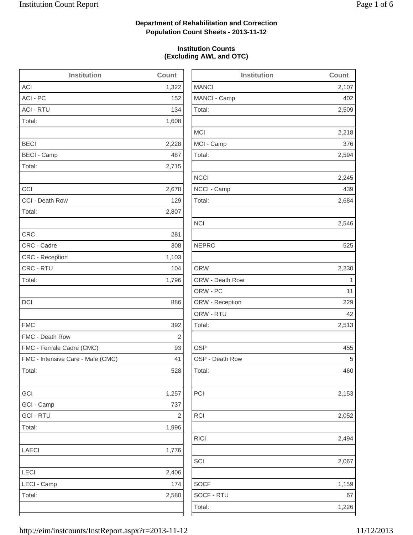2,509

2,218

2,594

2,684

2,546

2,513

2,153

2,052

2,494

2,067

1,159

### **Department of Rehabilitation and Correction Population Count Sheets - 2013-11-12**

### **Institution Counts (Excluding AWL and OTC)**

| <b>Institution</b>                | Count      | <b>Institution</b> | Count          |
|-----------------------------------|------------|--------------------|----------------|
| <b>ACI</b>                        | 1,322      | <b>MANCI</b>       | 2,107          |
| ACI - PC                          | 152        | MANCI - Camp       | 402            |
| <b>ACI - RTU</b>                  | 134        | Total:             | 2,509          |
| Total:                            | 1,608      |                    |                |
|                                   |            | <b>MCI</b>         | 2,218          |
| <b>BECI</b>                       | 2,228      | MCI - Camp         | 376            |
| <b>BECI - Camp</b>                | 487        | Total:             | 2,594          |
| Total:                            | 2,715      |                    |                |
|                                   |            | <b>NCCI</b>        | 2,245          |
| CCI                               | 2,678      | NCCI - Camp        | 439            |
| CCI - Death Row                   | 129        | Total:             | 2,684          |
| Total:                            | 2,807      |                    |                |
|                                   |            | <b>NCI</b>         | 2,546          |
| <b>CRC</b>                        | 281        |                    |                |
| CRC - Cadre                       | 308        | <b>NEPRC</b>       | 525            |
| CRC - Reception                   | 1,103      |                    |                |
| CRC - RTU                         | 104        | <b>ORW</b>         | 2,230          |
| Total:                            | 1,796      | ORW - Death Row    | $\overline{1}$ |
|                                   |            | ORW - PC           | 11             |
| DCI                               | 886        | ORW - Reception    | 229            |
|                                   |            | ORW - RTU          | 42             |
| <b>FMC</b>                        | 392        | Total:             | 2,513          |
| FMC - Death Row                   | $\sqrt{2}$ |                    |                |
| FMC - Female Cadre (CMC)          | 93         | <b>OSP</b>         | 455            |
| FMC - Intensive Care - Male (CMC) | 41         | OSP - Death Row    | 5              |
| Total:                            | 528        | Total:             | 460            |
| GCI                               | 1,257      | PCI                | 2,153          |
| GCI - Camp                        | 737        |                    |                |
| <b>GCI - RTU</b>                  | $\sqrt{2}$ | <b>RCI</b>         | 2,052          |
| Total:                            | 1,996      |                    |                |
|                                   |            | <b>RICI</b>        | 2,494          |
| LAECI                             | 1,776      |                    |                |
|                                   |            | SCI                | 2,067          |
| LECI                              | 2,406      |                    |                |
| LECI - Camp                       | 174        | <b>SOCF</b>        | 1,159          |
| Total:                            | 2,580      | SOCF - RTU         | 67             |
|                                   |            | Total:             | 1,226          |
|                                   |            |                    |                |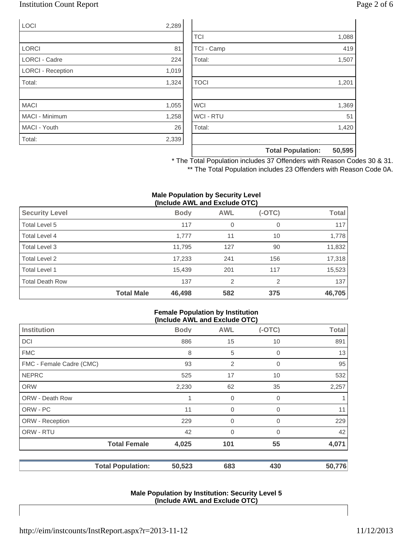### Institution Count Report Page 2 of 6

| <b>LOCI</b>              | 2,289 |
|--------------------------|-------|
|                          |       |
| <b>LORCI</b>             | 81    |
| <b>LORCI - Cadre</b>     | 224   |
| <b>LORCI - Reception</b> | 1,019 |
| Total:                   | 1,324 |
|                          |       |
| <b>MACI</b>              | 1,055 |
| <b>MACI - Minimum</b>    | 1,258 |
| MACI - Youth             | 26    |
| Total:                   | 2,339 |

|                  | <b>Total Population:</b> | 50,595 |
|------------------|--------------------------|--------|
|                  |                          |        |
| Total:           |                          | 1,420  |
| <b>WCI - RTU</b> |                          | 51     |
| <b>WCI</b>       |                          | 1,369  |
|                  |                          |        |
| <b>TOCI</b>      |                          | 1,201  |
|                  |                          |        |
| Total:           |                          | 1,507  |
| TCI - Camp       |                          | 419    |
| <b>TCI</b>       |                          | 1,088  |

\* The Total Population includes 37 Offenders with Reason Codes 30 & 31. \*\* The Total Population includes 23 Offenders with Reason Code 0A.

#### **Male Population by Security Level (Include AWL and Exclude OTC)**

| <b>Security Level</b>  |                   | <b>Body</b> | <b>AWL</b>     | $(-OTC)$ | Total  |
|------------------------|-------------------|-------------|----------------|----------|--------|
| Total Level 5          |                   | 117         | 0              | 0        | 117    |
| Total Level 4          |                   | 1,777       | 11             | 10       | 1,778  |
| Total Level 3          |                   | 11,795      | 127            | 90       | 11,832 |
| Total Level 2          |                   | 17,233      | 241            | 156      | 17,318 |
| Total Level 1          |                   | 15,439      | 201            | 117      | 15,523 |
| <b>Total Death Row</b> |                   | 137         | $\overline{2}$ | 2        | 137    |
|                        | <b>Total Male</b> | 46,498      | 582            | 375      | 46,705 |

#### **Female Population by Institution (Include AWL and Exclude OTC)**

|                          | (II)        |                |          |              |
|--------------------------|-------------|----------------|----------|--------------|
| <b>Institution</b>       | <b>Body</b> | <b>AWL</b>     | $(-OTC)$ | <b>Total</b> |
| <b>DCI</b>               | 886         | 15             | 10       | 891          |
| <b>FMC</b>               | 8           | 5              | 0        | 13           |
| FMC - Female Cadre (CMC) | 93          | $\overline{2}$ | 0        | 95           |
| <b>NEPRC</b>             | 525         | 17             | 10       | 532          |
| <b>ORW</b>               | 2,230       | 62             | 35       | 2,257        |
| <b>ORW - Death Row</b>   | 1           | 0              | 0        |              |
| ORW - PC                 | 11          | $\mathbf 0$    | 0        | 11           |
| ORW - Reception          | 229         | $\overline{0}$ | 0        | 229          |
| ORW - RTU                | 42          | $\overline{0}$ | 0        | 42           |
| <b>Total Female</b>      | 4,025       | 101            | 55       | 4,071        |
| <b>Total Population:</b> | 50,523      | 683            | 430      | 50,776       |

#### **Male Population by Institution: Security Level 5 (Include AWL and Exclude OTC)**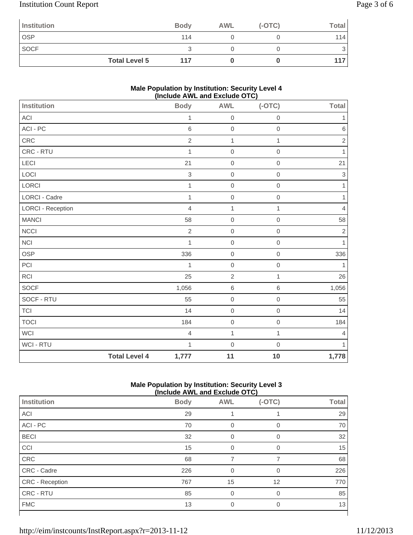# Institution Count Report Page 3 of 6

| Institution |                      | <b>Body</b> | <b>AWL</b> | $(-OTC)$ | Total |
|-------------|----------------------|-------------|------------|----------|-------|
| <b>OSP</b>  |                      | 114         |            |          | 114   |
| <b>SOCF</b> |                      |             |            |          | 3     |
|             | <b>Total Level 5</b> | 117         |            |          | 117   |

### **Male Population by Institution: Security Level 4 (Include AWL and Exclude OTC)**

| <b>Institution</b>   |                      | <b>Body</b>    | <b>AWL</b>          | $(-OTC)$     | Total          |
|----------------------|----------------------|----------------|---------------------|--------------|----------------|
| ACI                  |                      | $\mathbf{1}$   | $\mbox{O}$          | $\mathbf 0$  | 1              |
| $ACI - PC$           |                      | 6              | $\mbox{O}$          | $\mathbf 0$  | $\,$ 6 $\,$    |
| ${\sf CRC}$          |                      | $\overline{2}$ | $\mathbf{1}$        | $\mathbf{1}$ | $\sqrt{2}$     |
| CRC - RTU            |                      | $\mathbf{1}$   | $\mathbf 0$         | $\mathbf 0$  | 1              |
| LECI                 |                      | 21             | $\,0\,$             | $\mathbf 0$  | 21             |
| LOCI                 |                      | $\,$ 3 $\,$    | $\mbox{O}$          | $\mathbf 0$  | $\sqrt{3}$     |
| LORCI                |                      | $\mathbf{1}$   | $\mathbf 0$         | $\mathbf 0$  | $\mathbf{1}$   |
| <b>LORCI - Cadre</b> |                      | $\mathbf{1}$   | $\mathbf 0$         | $\mathbf 0$  | 1              |
| LORCI - Reception    |                      | $\overline{4}$ | 1                   | 1            | $\overline{4}$ |
| <b>MANCI</b>         |                      | 58             | $\mathbf 0$         | $\mathbf 0$  | 58             |
| <b>NCCI</b>          |                      | $\overline{2}$ | $\,0\,$             | $\mathbf 0$  | $\sqrt{2}$     |
| NCI                  |                      | $\mathbf{1}$   | $\mathbf 0$         | $\mathbf 0$  | $\mathbf{1}$   |
| OSP                  |                      | 336            | $\,0\,$             | $\mathbf 0$  | 336            |
| PCI                  |                      | 1              | $\mbox{O}$          | $\mathbf 0$  | 1              |
| <b>RCI</b>           |                      | 25             | $\overline{2}$      | $\mathbf{1}$ | 26             |
| SOCF                 |                      | 1,056          | $\,6$               | $\,6\,$      | 1,056          |
| SOCF - RTU           |                      | 55             | $\mathsf{O}\xspace$ | $\mathbf 0$  | 55             |
| $\top$ Cl            |                      | 14             | $\mathbf 0$         | $\mathbf 0$  | 14             |
| <b>TOCI</b>          |                      | 184            | $\mathsf{O}\xspace$ | $\mathbf 0$  | 184            |
| <b>WCI</b>           |                      | $\overline{4}$ | $\mathbf{1}$        | $\mathbf{1}$ | $\overline{4}$ |
| <b>WCI - RTU</b>     |                      | $\mathbf{1}$   | $\mathbf 0$         | $\mathbf 0$  | $\mathbf{1}$   |
|                      | <b>Total Level 4</b> | 1,777          | 11                  | 10           | 1,778          |

### **Male Population by Institution: Security Level 3 (Include AWL and Exclude OTC)**

| (INClUDE AVE AND EXCIUDE UT U |             |            |          |              |
|-------------------------------|-------------|------------|----------|--------------|
| Institution                   | <b>Body</b> | <b>AWL</b> | $(-OTC)$ | <b>Total</b> |
| ACI                           | 29          |            |          | 29           |
| ACI - PC                      | 70          | 0          | 0        | 70           |
| <b>BECI</b>                   | 32          | $\Omega$   | 0        | 32           |
| CCI                           | 15          |            | $\Omega$ | 15           |
| CRC                           | 68          |            | 7        | 68           |
| CRC - Cadre                   | 226         |            | $\Omega$ | 226          |
| <b>CRC</b> - Reception        | 767         | 15         | 12       | 770          |
| CRC - RTU                     | 85          | $\Omega$   | 0        | 85           |
| <b>FMC</b>                    | 13          | 0          | 0        | 13           |
|                               |             |            |          |              |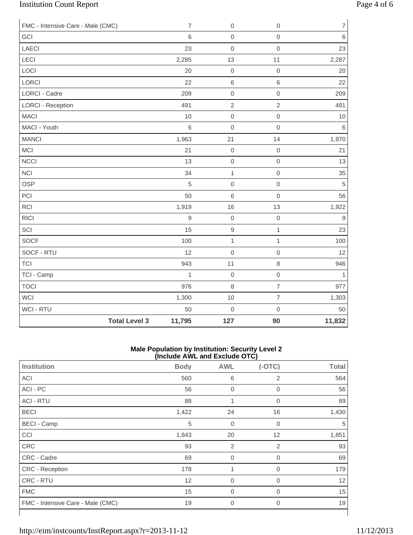# Institution Count Report Page 4 of 6

| FMC - Intensive Care - Male (CMC) | $\overline{7}$ | $\boldsymbol{0}$ | $\mathbf 0$              | $\overline{7}$ |
|-----------------------------------|----------------|------------------|--------------------------|----------------|
| GCI                               | $\,6$          | $\mathbf 0$      | $\mathbf 0$              | $\,6\,$        |
| <b>LAECI</b>                      | 23             | $\mathbf 0$      | $\mathsf{O}\xspace$      | 23             |
| <b>LECI</b>                       | 2,285          | 13               | 11                       | 2,287          |
| LOCI                              | 20             | $\mathbf 0$      | $\mathsf{O}\xspace$      | 20             |
| LORCI                             | 22             | $\,$ 6 $\,$      | $\,6\,$                  | 22             |
| <b>LORCI - Cadre</b>              | 209            | $\mathbf 0$      | $\mathbf 0$              | 209            |
| <b>LORCI - Reception</b>          | 491            | $\sqrt{2}$       | $\overline{2}$           | 491            |
| <b>MACI</b>                       | 10             | $\mathbf 0$      | $\mbox{O}$               | 10             |
| MACI - Youth                      | 6              | $\mathbf 0$      | $\mathbf 0$              | 6              |
| <b>MANCI</b>                      | 1,963          | 21               | 14                       | 1,970          |
| MCI                               | 21             | $\boldsymbol{0}$ | $\mbox{O}$               | 21             |
| <b>NCCI</b>                       | 13             | $\mbox{O}$       | $\mathsf{O}\xspace$      | 13             |
| <b>NCI</b>                        | 34             | $\mathbf 1$      | $\mbox{O}$               | 35             |
| OSP                               | 5              | $\mathbf 0$      | $\mathbf 0$              | $\sqrt{5}$     |
| PCI                               | 50             | 6                | $\mathsf{O}\xspace$      | 56             |
| <b>RCI</b>                        | 1,919          | 16               | 13                       | 1,922          |
| <b>RICI</b>                       | $\overline{9}$ | $\mathbf 0$      | $\mathbf 0$              | $\mathsf g$    |
| SCI                               | 15             | $\mathsf g$      | $\mathbf{1}$             | 23             |
| <b>SOCF</b>                       | 100            | $\mathbf 1$      | $\mathbf{1}$             | 100            |
| SOCF - RTU                        | 12             | $\mathbf 0$      | $\mathsf{O}\xspace$      | 12             |
| <b>TCI</b>                        | 943            | 11               | $\,8\,$                  | 946            |
| TCI - Camp                        | $\mathbf{1}$   | $\boldsymbol{0}$ | $\mbox{O}$               | $\mathbf{1}$   |
| <b>TOCI</b>                       | 976            | $\,8\,$          | $\overline{\mathcal{I}}$ | 977            |
| <b>WCI</b>                        | 1,300          | 10               | $\overline{7}$           | 1,303          |
| WCI - RTU                         | 50             | $\mathbf 0$      | $\mathbf 0$              | 50             |
| <b>Total Level 3</b>              | 11,795         | 127              | 90                       | 11,832         |

#### **Male Population by Institution: Security Level 2 (Include AWL and Exclude OTC)**

| <b>Body</b> | <b>AWL</b>     | $(-OTC)$       | <b>Total</b> |
|-------------|----------------|----------------|--------------|
| 560         | 6              | 2              | 564          |
| 56          | $\mathbf 0$    | $\overline{0}$ | 56           |
| 88          | 1              | 0              | 89           |
| 1,422       | 24             | 16             | 1,430        |
| 5           | $\mathbf 0$    | $\mathbf 0$    | 5            |
| 1,843       | 20             | 12             | 1,851        |
| 93          | $\overline{2}$ | $\overline{2}$ | 93           |
| 69          | $\mathbf 0$    | 0              | 69           |
| 178         | 1              | $\mathbf 0$    | 179          |
| 12          | $\mathbf 0$    | $\mathbf 0$    | 12           |
| 15          | $\overline{0}$ | 0              | 15           |
| 19          | $\mathbf 0$    | $\mathbf 0$    | 19           |
|             |                |                |              |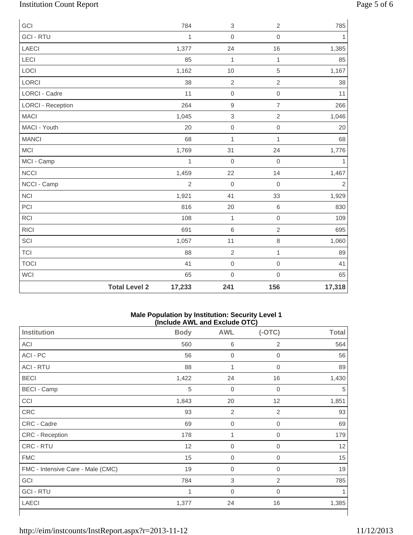# Institution Count Report Page 5 of 6

| GCI                      |                      | 784            | $\,3$               | $\sqrt{2}$          | 785            |
|--------------------------|----------------------|----------------|---------------------|---------------------|----------------|
| <b>GCI-RTU</b>           |                      | 1              | $\mathbf 0$         | $\mathbf 0$         | $\mathbf{1}$   |
| <b>LAECI</b>             |                      | 1,377          | 24                  | 16                  | 1,385          |
| LECI                     |                      | 85             | $\mathbf{1}$        | $\mathbf{1}$        | 85             |
| LOCI                     |                      | 1,162          | 10                  | 5                   | 1,167          |
| LORCI                    |                      | 38             | $\overline{2}$      | $\sqrt{2}$          | 38             |
| <b>LORCI - Cadre</b>     |                      | 11             | $\mathbf 0$         | $\mbox{O}$          | 11             |
| <b>LORCI - Reception</b> |                      | 264            | $\hbox{9}$          | $\overline{7}$      | 266            |
| <b>MACI</b>              |                      | 1,045          | $\sqrt{3}$          | $\overline{2}$      | 1,046          |
| MACI - Youth             |                      | 20             | $\mbox{O}$          | $\mathbf 0$         | 20             |
| <b>MANCI</b>             |                      | 68             | $\mathbf{1}$        | $\mathbf{1}$        | 68             |
| <b>MCI</b>               |                      | 1,769          | 31                  | 24                  | 1,776          |
| MCI - Camp               |                      | $\mathbf{1}$   | $\mathbf 0$         | $\mathbf 0$         | $\mathbf{1}$   |
| <b>NCCI</b>              |                      | 1,459          | 22                  | 14                  | 1,467          |
| NCCI - Camp              |                      | $\overline{2}$ | $\mathbf 0$         | $\mathbf 0$         | $\overline{2}$ |
| <b>NCI</b>               |                      | 1,921          | 41                  | 33                  | 1,929          |
| PCI                      |                      | 816            | 20                  | $\,6\,$             | 830            |
| RCI                      |                      | 108            | $\mathbf{1}$        | $\mathsf{O}\xspace$ | 109            |
| <b>RICI</b>              |                      | 691            | $\,6$               | $\sqrt{2}$          | 695            |
| SCI                      |                      | 1,057          | 11                  | $\, 8$              | 1,060          |
| <b>TCI</b>               |                      | 88             | $\overline{2}$      | $\mathbf 1$         | 89             |
| <b>TOCI</b>              |                      | 41             | $\mathsf{O}\xspace$ | $\mathbf 0$         | 41             |
| <b>WCI</b>               |                      | 65             | $\mathbf 0$         | $\mathsf{O}\xspace$ | 65             |
|                          | <b>Total Level 2</b> | 17,233         | 241                 | 156                 | 17,318         |

### **Male Population by Institution: Security Level 1 (Include AWL and Exclude OTC)**

|                                   |             |                  | .              |              |
|-----------------------------------|-------------|------------------|----------------|--------------|
| <b>Institution</b>                | <b>Body</b> | <b>AWL</b>       | $(-OTC)$       | <b>Total</b> |
| ACI                               | 560         | 6                | $\overline{2}$ | 564          |
| ACI - PC                          | 56          | $\boldsymbol{0}$ | $\mathbf 0$    | 56           |
| <b>ACI - RTU</b>                  | 88          | 1                | $\overline{0}$ | 89           |
| <b>BECI</b>                       | 1,422       | 24               | 16             | 1,430        |
| <b>BECI - Camp</b>                | $\sqrt{5}$  | $\boldsymbol{0}$ | 0              | 5            |
| CCI                               | 1,843       | 20               | 12             | 1,851        |
| CRC                               | 93          | $\overline{2}$   | $\overline{2}$ | 93           |
| CRC - Cadre                       | 69          | $\boldsymbol{0}$ | 0              | 69           |
| CRC - Reception                   | 178         | 1                | 0              | 179          |
| CRC - RTU                         | 12          | $\mathbf 0$      | 0              | 12           |
| <b>FMC</b>                        | 15          | $\boldsymbol{0}$ | $\overline{0}$ | 15           |
| FMC - Intensive Care - Male (CMC) | 19          | $\boldsymbol{0}$ | 0              | 19           |
| GCI                               | 784         | $\,$ 3 $\,$      | 2              | 785          |
| <b>GCI - RTU</b>                  | 1           | $\boldsymbol{0}$ | 0              |              |
| <b>LAECI</b>                      | 1,377       | 24               | 16             | 1,385        |
|                                   |             |                  |                |              |